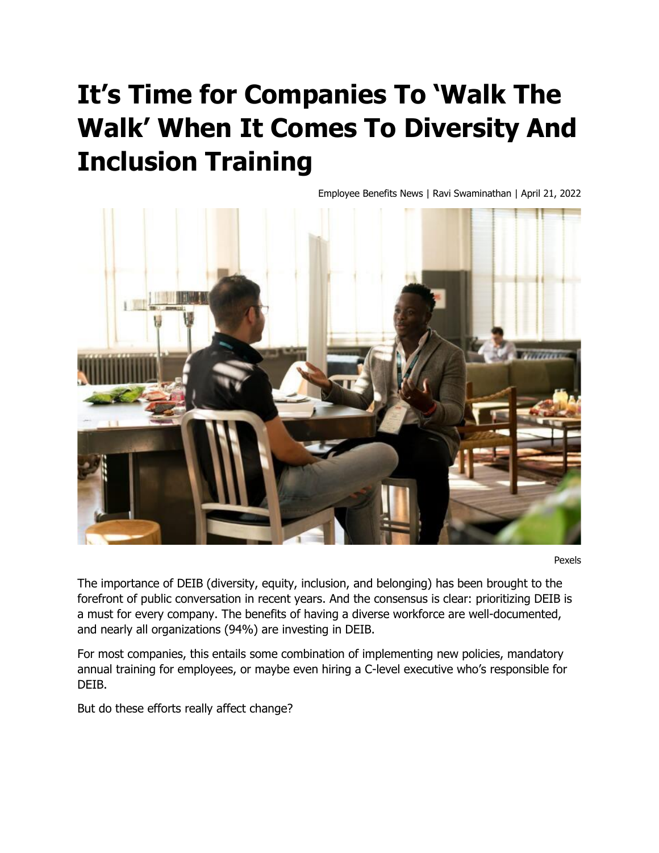# **It's Time for Companies To 'Walk The Walk' When It Comes To Diversity And Inclusion Training**

Employee Benefits News | Ravi Swaminathan | April 21, 2022



Pexels

The importance of DEIB (diversity, equity, inclusion, and belonging) has been brought to the forefront of public conversation in recent years. And the consensus is clear: prioritizing DEIB is a must for every company. The benefits of having a diverse workforce are well-documented, and nearly all organizations (94%) are investing in DEIB.

For most companies, this entails some combination of implementing new policies, mandatory annual training for employees, or maybe even hiring a C-level executive who's responsible for DEIB.

But do these efforts really affect change?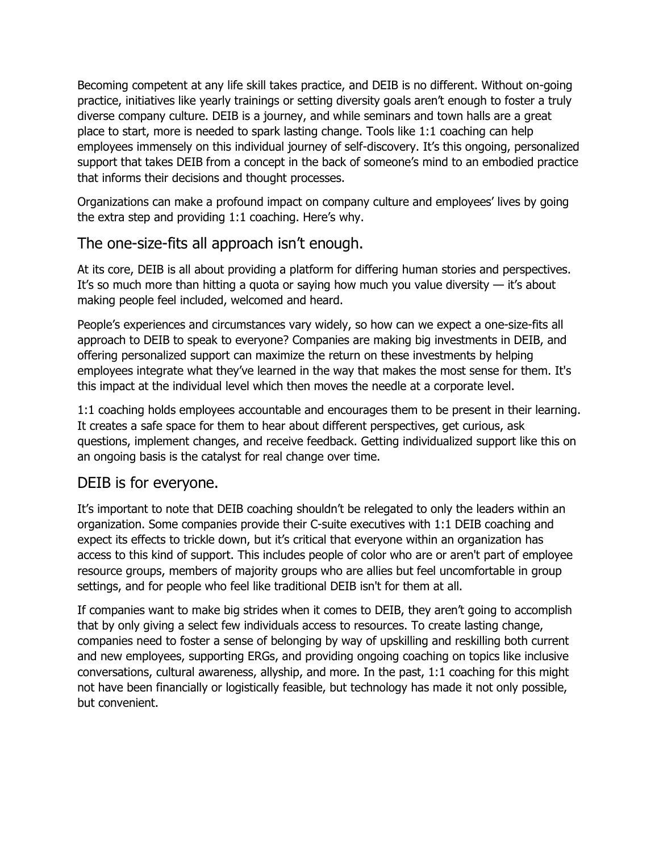Becoming competent at any life skill takes practice, and DEIB is no different. Without on-going practice, initiatives like yearly trainings or setting diversity goals aren't enough to foster a truly diverse company culture. DEIB is a journey, and while seminars and town halls are a great place to start, more is needed to spark lasting change. Tools like 1:1 coaching can help employees immensely on this individual journey of self-discovery. It's this ongoing, personalized support that takes DEIB from a concept in the back of someone's mind to an embodied practice that informs their decisions and thought processes.

Organizations can make a profound impact on company culture and employees' lives by going the extra step and providing 1:1 coaching. Here's why.

## The one-size-fits all approach isn't enough.

At its core, DEIB is all about providing a platform for differing human stories and perspectives. It's so much more than hitting a quota or saying how much you value diversity  $-$  it's about making people feel included, welcomed and heard.

People's experiences and circumstances vary widely, so how can we expect a one-size-fits all approach to DEIB to speak to everyone? Companies are making big investments in DEIB, and offering personalized support can maximize the return on these investments by helping employees integrate what they've learned in the way that makes the most sense for them. It's this impact at the individual level which then moves the needle at a corporate level.

1:1 coaching holds employees accountable and encourages them to be present in their learning. It creates a safe space for them to hear about different perspectives, get curious, ask questions, implement changes, and receive feedback. Getting individualized support like this on an ongoing basis is the catalyst for real change over time.

#### DEIB is for everyone.

It's important to note that DEIB coaching shouldn't be relegated to only the leaders within an organization. Some companies provide their C-suite executives with 1:1 DEIB coaching and expect its effects to trickle down, but it's critical that everyone within an organization has access to this kind of support. This includes people of color who are or aren't part of employee resource groups, members of majority groups who are allies but feel uncomfortable in group settings, and for people who feel like traditional DEIB isn't for them at all.

If companies want to make big strides when it comes to DEIB, they aren't going to accomplish that by only giving a select few individuals access to resources. To create lasting change, companies need to foster a sense of belonging by way of upskilling and reskilling both current and new employees, supporting ERGs, and providing ongoing coaching on topics like inclusive conversations, cultural awareness, allyship, and more. In the past, 1:1 coaching for this might not have been financially or logistically feasible, but technology has made it not only possible, but convenient.